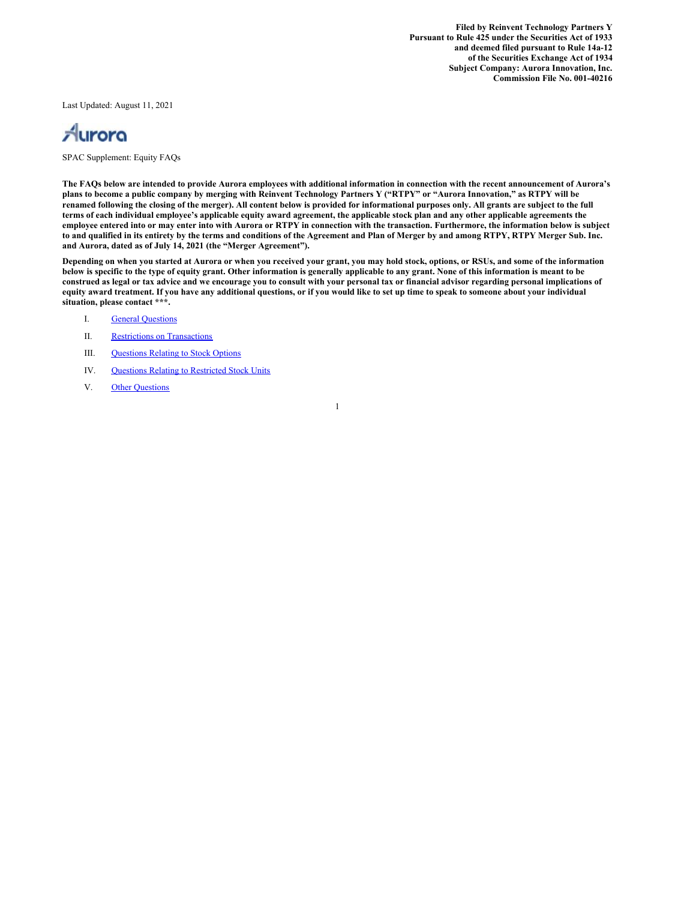**Filed by Reinvent Technology Partners Y Pursuant to Rule 425 under the Securities Act of 1933 and deemed filed pursuant to Rule 14a-12 of the Securities Exchange Act of 1934 Subject Company: Aurora Innovation, Inc. Commission File No. 001-40216**

Last Updated: August 11, 2021



SPAC Supplement: Equity FAQs

The FAQs below are intended to provide Aurora employees with additional information in connection with the recent announcement of Aurora's plans to become a public company by merging with Reinvent Technology Partners Y ("RTPY" or "Aurora Innovation," as RTPY will be renamed following the closing of the merger). All content below is provided for informational purposes only. All grants are subject to the full terms of each individual employee's applicable equity award agreement, the applicable stock plan and any other applicable agreements the employee entered into or may enter into with Aurora or RTPY in connection with the transaction. Furthermore, the information below is subject to and qualified in its entirety by the terms and conditions of the Agreement and Plan of Merger by and among RTPY, RTPY Merger Sub. Inc. **and Aurora, dated as of July 14, 2021 (the "Merger Agreement").**

Depending on when you started at Aurora or when you received your grant, you may hold stock, options, or RSUs, and some of the information below is specific to the type of equity grant. Other information is generally applicable to any grant. None of this information is meant to be construed as legal or tax advice and we encourage you to consult with your personal tax or financial advisor regarding personal implications of equity award treatment. If you have any additional questions, or if you would like to set up time to speak to someone about your individual **situation, please contact \*\*\*.**

- I. General [Questions](#page-1-0)
- II. Restrictions on [Transactions](#page-2-0)
- III. [Questions](#page-5-0) Relating to Stock Options
- IV. Questions Relating to [Restricted](#page-7-0) Stock Units
- V. Other [Questions](#page-9-0)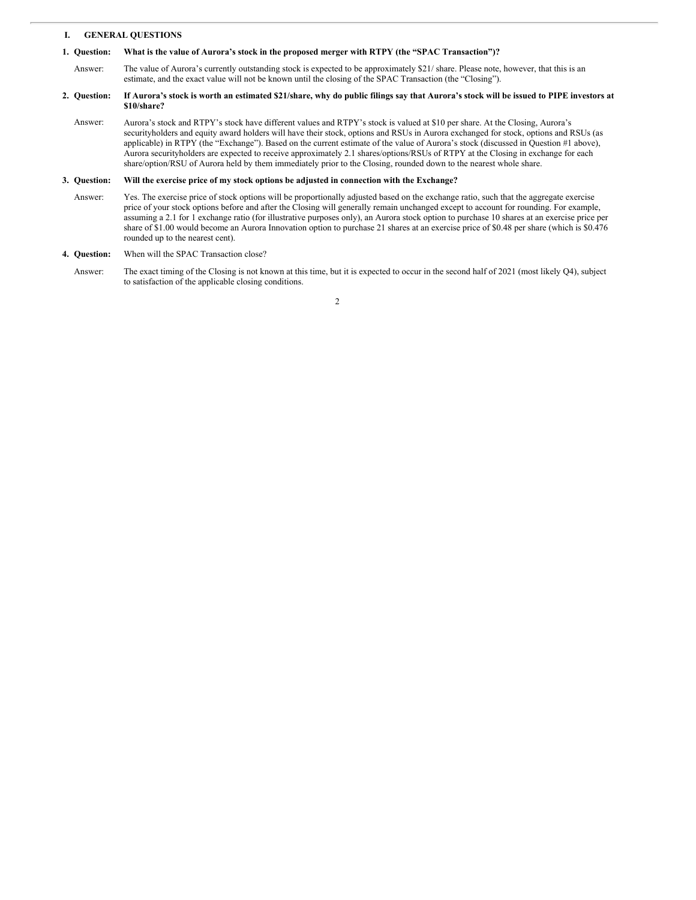# <span id="page-1-0"></span>**I. GENERAL QUESTIONS**

### **1. Question: What is the value of Aurora's stock in the proposed merger with RTPY (the "SPAC Transaction")?**

Answer: The value of Aurora's currently outstanding stock is expected to be approximately \$21/ share. Please note, however, that this is an estimate, and the exact value will not be known until the closing of the SPAC Transaction (the "Closing").

### **2. Question:** If Aurora's stock is worth an estimated \$21/share, why do public filings say that Aurora's stock will be issued to PIPE investors at **\$10/share?**

Answer: Aurora's stock and RTPY's stock have different values and RTPY's stock is valued at \$10 per share. At the Closing, Aurora's securityholders and equity award holders will have their stock, options and RSUs in Aurora exchanged for stock, options and RSUs (as applicable) in RTPY (the "Exchange"). Based on the current estimate of the value of Aurora's stock (discussed in Question #1 above), Aurora securityholders are expected to receive approximately 2.1 shares/options/RSUs of RTPY at the Closing in exchange for each share/option/RSU of Aurora held by them immediately prior to the Closing, rounded down to the nearest whole share.

#### **3. Question: Will the exercise price of my stock options be adjusted in connection with the Exchange?**

Answer: Yes. The exercise price of stock options will be proportionally adjusted based on the exchange ratio, such that the aggregate exercise price of your stock options before and after the Closing will generally remain unchanged except to account for rounding. For example, assuming a 2.1 for 1 exchange ratio (for illustrative purposes only), an Aurora stock option to purchase 10 shares at an exercise price per share of \$1.00 would become an Aurora Innovation option to purchase 21 shares at an exercise price of \$0.48 per share (which is \$0.476 rounded up to the nearest cent).

#### **4. Question:** When will the SPAC Transaction close?

Answer: The exact timing of the Closing is not known at this time, but it is expected to occur in the second half of 2021 (most likely Q4), subject to satisfaction of the applicable closing conditions.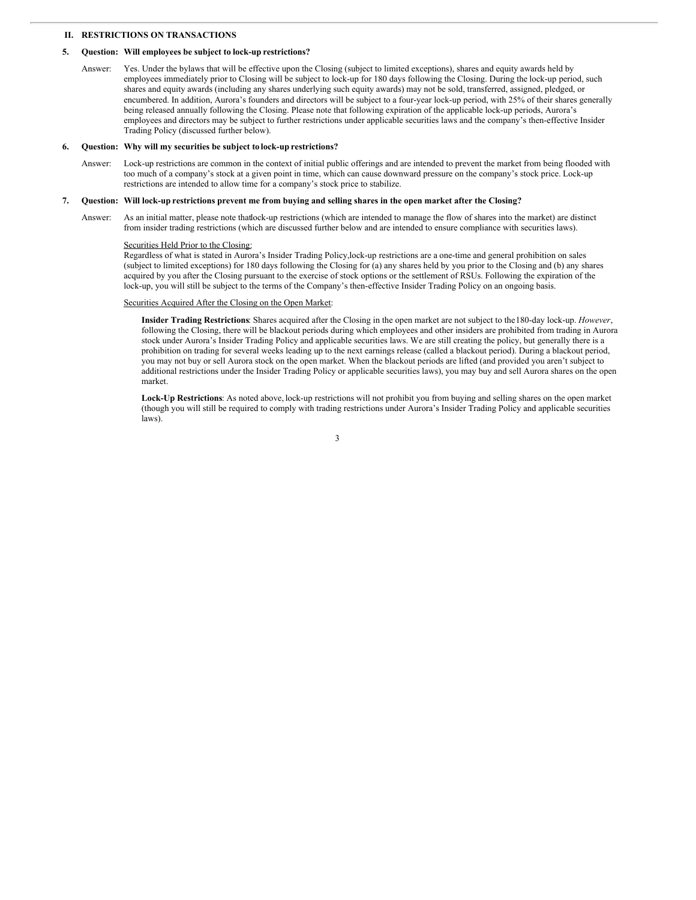# <span id="page-2-0"></span>**II. RESTRICTIONS ON TRANSACTIONS**

### **5. Question: Will employees be subject to lock-up restrictions?**

Answer: Yes. Under the bylaws that will be effective upon the Closing (subject to limited exceptions), shares and equity awards held by employees immediately prior to Closing will be subject to lock-up for 180 days following the Closing. During the lock-up period, such shares and equity awards (including any shares underlying such equity awards) may not be sold, transferred, assigned, pledged, or encumbered. In addition, Aurora's founders and directors will be subject to a four-year lock-up period, with 25% of their shares generally being released annually following the Closing. Please note that following expiration of the applicable lock-up periods, Aurora's employees and directors may be subject to further restrictions under applicable securities laws and the company's then-effective Insider Trading Policy (discussed further below).

### **6. Question: Why will my securities be subject to lock-up restrictions?**

Answer: Lock-up restrictions are common in the context of initial public offerings and are intended to prevent the market from being flooded with too much of a company's stock at a given point in time, which can cause downward pressure on the company's stock price. Lock-up restrictions are intended to allow time for a company's stock price to stabilize.

### 7. Question: Will lock-up restrictions prevent me from buying and selling shares in the open market after the Closing?

Answer: As an initial matter, please note thatlock-up restrictions (which are intended to manage the flow of shares into the market) are distinct from insider trading restrictions (which are discussed further below and are intended to ensure compliance with securities laws).

# Securities Held Prior to the Closing:

Regardless of what is stated in Aurora's Insider Trading Policy,lock-up restrictions are a one-time and general prohibition on sales (subject to limited exceptions) for 180 days following the Closing for (a) any shares held by you prior to the Closing and (b) any shares acquired by you after the Closing pursuant to the exercise of stock options or the settlement of RSUs. Following the expiration of the lock-up, you will still be subject to the terms of the Company's then-effective Insider Trading Policy on an ongoing basis.

## Securities Acquired After the Closing on the Open Market:

**Insider Trading Restrictions**: Shares acquired after the Closing in the open market are not subject to the180-day lock-up. *However*, following the Closing, there will be blackout periods during which employees and other insiders are prohibited from trading in Aurora stock under Aurora's Insider Trading Policy and applicable securities laws. We are still creating the policy, but generally there is a prohibition on trading for several weeks leading up to the next earnings release (called a blackout period). During a blackout period, you may not buy or sell Aurora stock on the open market. When the blackout periods are lifted (and provided you aren't subject to additional restrictions under the Insider Trading Policy or applicable securities laws), you may buy and sell Aurora shares on the open market.

**Lock-Up Restrictions**: As noted above, lock-up restrictions will not prohibit you from buying and selling shares on the open market (though you will still be required to comply with trading restrictions under Aurora's Insider Trading Policy and applicable securities laws).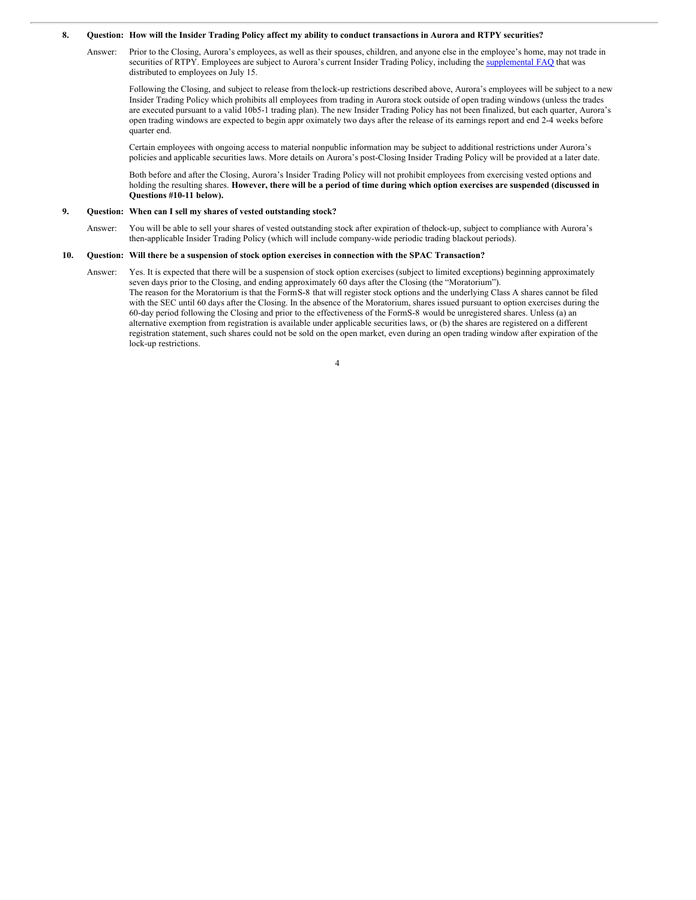### 8. Question: How will the Insider Trading Policy affect my ability to conduct transactions in Aurora and RTPY securities?

Answer: Prior to the Closing, Aurora's employees, as well as their spouses, children, and anyone else in the employee's home, may not trade in securities of RTPY. Employees are subject to Aurora's current Insider Trading Policy, including the [supplemental](http://www.sec.gov/Archives/edgar/data/1828108/000119312521216539/d193805d425.htm) FAQ that was distributed to employees on July 15.

Following the Closing, and subject to release from thelock-up restrictions described above, Aurora's employees will be subject to a new Insider Trading Policy which prohibits all employees from trading in Aurora stock outside of open trading windows (unless the trades are executed pursuant to a valid 10b5-1 trading plan). The new Insider Trading Policy has not been finalized, but each quarter, Aurora's open trading windows are expected to begin appr oximately two days after the release of its earnings report and end 2-4 weeks before quarter end.

Certain employees with ongoing access to material nonpublic information may be subject to additional restrictions under Aurora's policies and applicable securities laws. More details on Aurora's post-Closing Insider Trading Policy will be provided at a later date.

Both before and after the Closing, Aurora's Insider Trading Policy will not prohibit employees from exercising vested options and holding the resulting shares. However, there will be a period of time during which option exercises are suspended (discussed in **Questions #10-11 below).**

### **9. Question: When can I sell my shares of vested outstanding stock?**

Answer: You will be able to sell your shares of vested outstanding stock after expiration of thelock-up, subject to compliance with Aurora's then-applicable Insider Trading Policy (which will include company-wide periodic trading blackout periods).

### 10. Question: Will there be a suspension of stock option exercises in connection with the SPAC Transaction?

Answer: Yes. It is expected that there will be a suspension of stock option exercises (subject to limited exceptions) beginning approximately seven days prior to the Closing, and ending approximately 60 days after the Closing (the "Moratorium"). The reason for the Moratorium is that the FormS-8 that will register stock options and the underlying Class A shares cannot be filed with the SEC until 60 days after the Closing. In the absence of the Moratorium, shares issued pursuant to option exercises during the 60-day period following the Closing and prior to the effectiveness of the FormS-8 would be unregistered shares. Unless (a) an alternative exemption from registration is available under applicable securities laws, or (b) the shares are registered on a different registration statement, such shares could not be sold on the open market, even during an open trading window after expiration of the lock-up restrictions.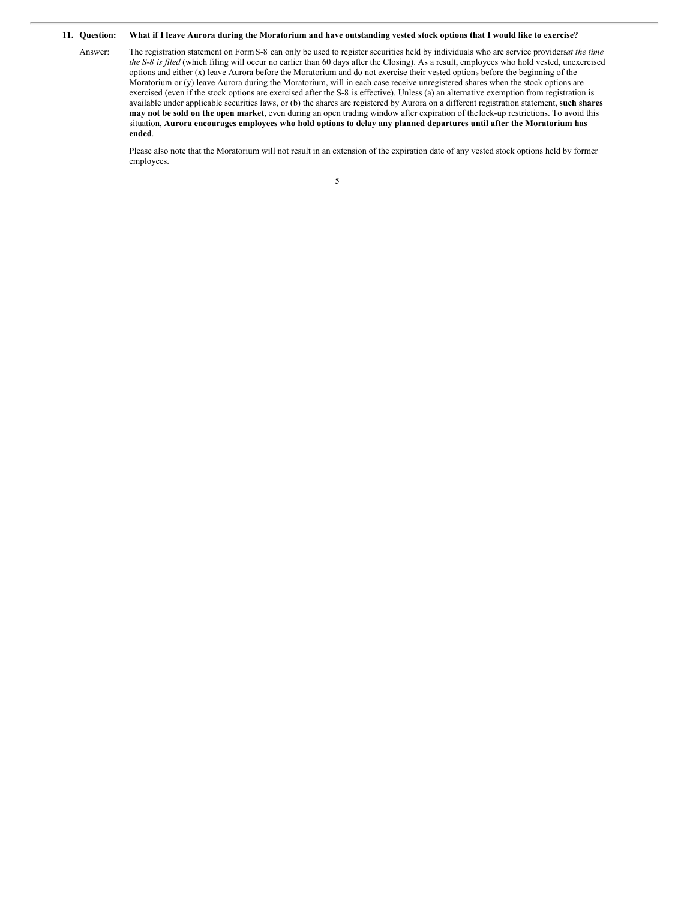#### **11. Question:** What if I leave Aurora during the Moratorium and have outstanding vested stock options that I would like to exercise?

Answer: The registration statement on FormS-8 can only be used to register securities held by individuals who are service providers*at the time the S-8 is filed* (which filing will occur no earlier than 60 days after the Closing). As a result, employees who hold vested, unexercised options and either (x) leave Aurora before the Moratorium and do not exercise their vested options before the beginning of the Moratorium or (y) leave Aurora during the Moratorium, will in each case receive unregistered shares when the stock options are exercised (even if the stock options are exercised after the S-8 is effective). Unless (a) an alternative exemption from registration is available under applicable securities laws, or (b) the shares are registered by Aurora on a different registration statement, **such shares may not be sold on the open market**, even during an open trading window after expiration of the lock-up restrictions. To avoid this situation, Aurora encourages employees who hold options to delay any planned departures until after the Moratorium has **ended**.

Please also note that the Moratorium will not result in an extension of the expiration date of any vested stock options held by former employees.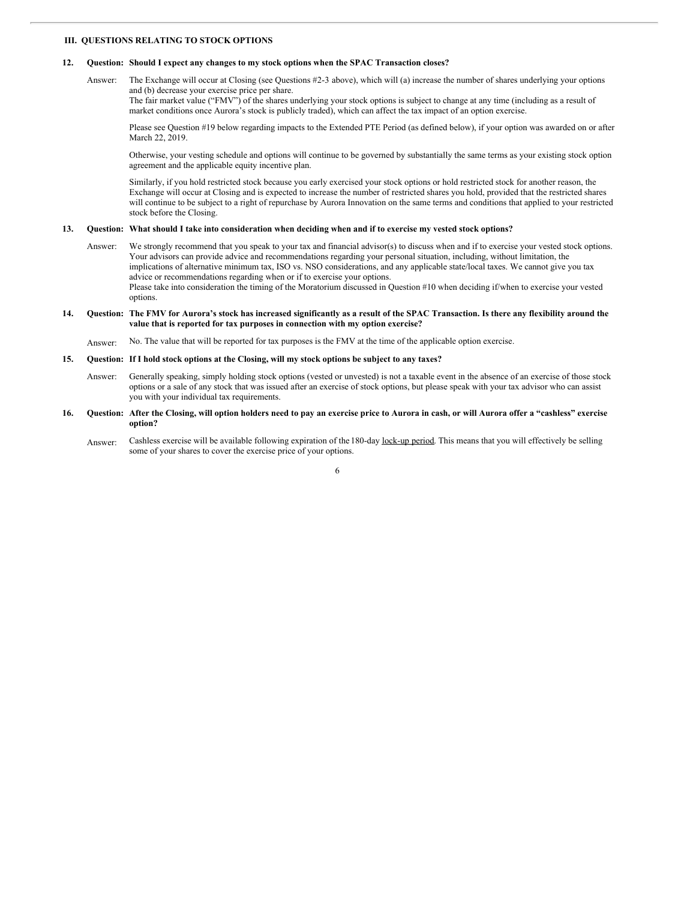## <span id="page-5-0"></span>**III. QUESTIONS RELATING TO STOCK OPTIONS**

### **12. Question: Should I expect any changes to my stock options when the SPAC Transaction closes?**

Answer: The Exchange will occur at Closing (see Questions #2-3 above), which will (a) increase the number of shares underlying your options and (b) decrease your exercise price per share.

The fair market value ("FMV") of the shares underlying your stock options is subject to change at any time (including as a result of market conditions once Aurora's stock is publicly traded), which can affect the tax impact of an option exercise.

Please see Question #19 below regarding impacts to the Extended PTE Period (as defined below), if your option was awarded on or after March 22, 2019.

Otherwise, your vesting schedule and options will continue to be governed by substantially the same terms as your existing stock option agreement and the applicable equity incentive plan.

Similarly, if you hold restricted stock because you early exercised your stock options or hold restricted stock for another reason, the Exchange will occur at Closing and is expected to increase the number of restricted shares you hold, provided that the restricted shares will continue to be subject to a right of repurchase by Aurora Innovation on the same terms and conditions that applied to your restricted stock before the Closing.

### 13. Question: What should I take into consideration when deciding when and if to exercise my vested stock options?

Answer: We strongly recommend that you speak to your tax and financial advisor(s) to discuss when and if to exercise your vested stock options. Your advisors can provide advice and recommendations regarding your personal situation, including, without limitation, the implications of alternative minimum tax, ISO vs. NSO considerations, and any applicable state/local taxes. We cannot give you tax advice or recommendations regarding when or if to exercise your options. Please take into consideration the timing of the Moratorium discussed in Question #10 when deciding if/when to exercise your vested

options.

## 14. Question: The FMV for Aurora's stock has increased significantly as a result of the SPAC Transaction. Is there any flexibility around the **value that is reported for tax purposes in connection with my option exercise?**

Answer: No. The value that will be reported for tax purposes is the FMV at the time of the applicable option exercise.

### 15. Question: If I hold stock options at the Closing, will my stock options be subject to any taxes?

- Answer: Generally speaking, simply holding stock options (vested or unvested) is not a taxable event in the absence of an exercise of those stock options or a sale of any stock that was issued after an exercise of stock options, but please speak with your tax advisor who can assist you with your individual tax requirements.
- 16. Question: After the Closing, will option holders need to pay an exercise price to Aurora in cash, or will Aurora offer a "cashless" exercise **option?**
	- Answer: Cashless exercise will be available following expiration of the 180-day lock-up period. This means that you will effectively be selling some of your shares to cover the exercise price of your options.

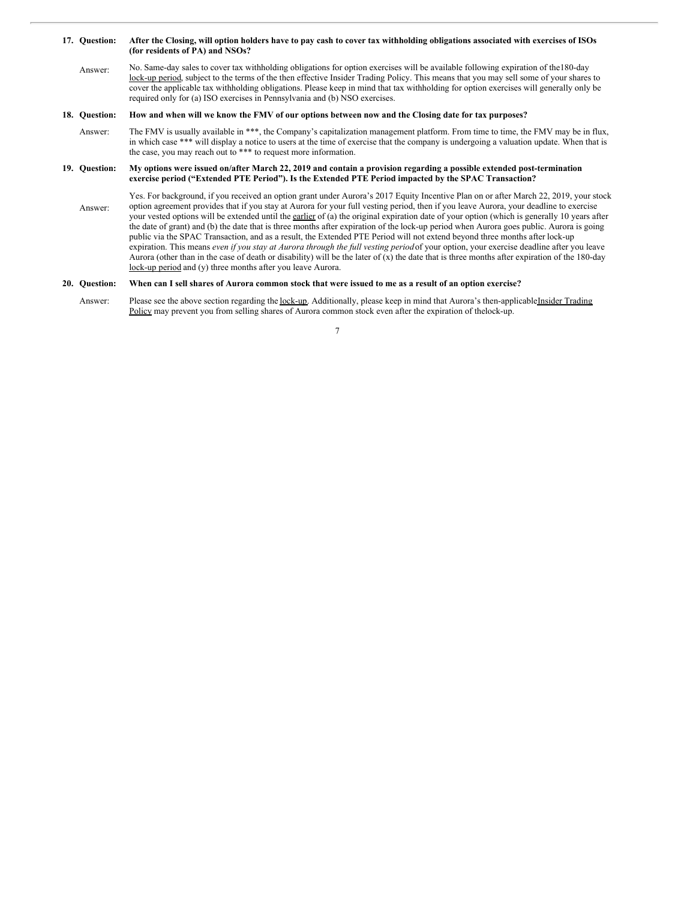### **17. Question:** After the Closing, will option holders have to pay cash to cover tax withholding obligations associated with exercises of ISOs **(for residents of PA) and NSOs?**

Answer: No. Same-day sales to cover tax withholding obligations for option exercises will be available following expiration of the180-day lock-up period, subject to the terms of the then effective Insider Trading Policy. This means that you may sell some of your shares to cover the applicable tax withholding obligations. Please keep in mind that tax withholding for option exercises will generally only be required only for (a) ISO exercises in Pennsylvania and (b) NSO exercises.

#### **18. Question:** How and when will we know the FMV of our options between now and the Closing date for tax purposes?

Answer: The FMV is usually available in \*\*\*, the Company's capitalization management platform. From time to time, the FMV may be in flux, in which case \*\*\* will display a notice to users at the time of exercise that the company is undergoing a valuation update. When that is the case, you may reach out to \*\*\* to request more information.

### **19. Question:** My options were issued on/after March 22, 2019 and contain a provision regarding a possible extended post-termination **exercise period ("Extended PTE Period"). Is the Extended PTE Period impacted by the SPAC Transaction?**

Answer: Yes. For background, if you received an option grant under Aurora's 2017 Equity Incentive Plan on or after March 22, 2019, your stock option agreement provides that if you stay at Aurora for your full vesting period, then if you leave Aurora, your deadline to exercise your vested options will be extended until the earlier of (a) the original expiration date of your option (which is generally 10 years after the date of grant) and (b) the date that is three months after expiration of the lock-up period when Aurora goes public. Aurora is going public via the SPAC Transaction, and as a result, the Extended PTE Period will not extend beyond three months after lock-up expiration. This means *even if you stay at Aurora through the full vesting period*of your option, your exercise deadline after you leave Aurora (other than in the case of death or disability) will be the later of (x) the date that is three months after expiration of the 180-day lock-up period and (y) three months after you leave Aurora.

#### **20. Question:** When can I sell shares of Aurora common stock that were issued to me as a result of an option exercise?

Answer: Please see the above section regarding the lock-up. Additionally, please keep in mind that Aurora's then-applicableInsider Trading Policy may prevent you from selling shares of Aurora common stock even after the expiration of thelock-up.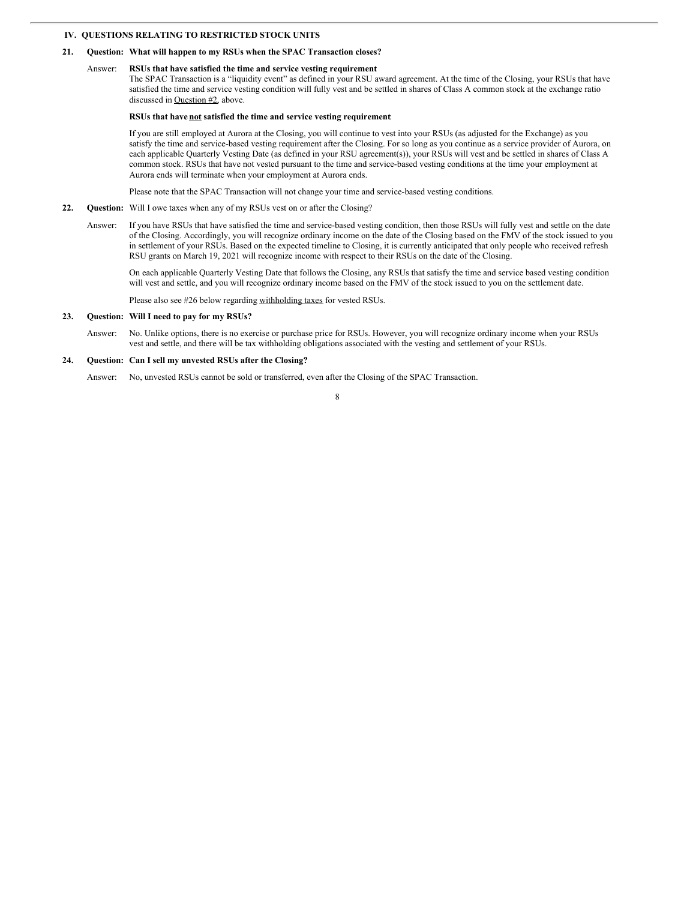# <span id="page-7-0"></span>**IV. QUESTIONS RELATING TO RESTRICTED STOCK UNITS**

### **21. Question: What will happen to my RSUs when the SPAC Transaction closes?**

#### Answer: **RSUs that have satisfied the time and service vesting requirement**:

The SPAC Transaction is a "liquidity event" as defined in your RSU award agreement. At the time of the Closing, your RSUs that have satisfied the time and service vesting condition will fully vest and be settled in shares of Class A common stock at the exchange ratio discussed in Question #2, above.

## **RSUs that have not satisfied the time and service vesting requirement**:

If you are still employed at Aurora at the Closing, you will continue to vest into your RSUs (as adjusted for the Exchange) as you satisfy the time and service-based vesting requirement after the Closing. For so long as you continue as a service provider of Aurora, on each applicable Quarterly Vesting Date (as defined in your RSU agreement(s)), your RSUs will vest and be settled in shares of Class A common stock. RSUs that have not vested pursuant to the time and service-based vesting conditions at the time your employment at Aurora ends will terminate when your employment at Aurora ends.

Please note that the SPAC Transaction will not change your time and service-based vesting conditions.

- **22. Question:** Will I owe taxes when any of my RSUs vest on or after the Closing?
	- Answer: If you have RSUs that have satisfied the time and service-based vesting condition, then those RSUs will fully vest and settle on the date of the Closing. Accordingly, you will recognize ordinary income on the date of the Closing based on the FMV of the stock issued to you in settlement of your RSUs. Based on the expected timeline to Closing, it is currently anticipated that only people who received refresh RSU grants on March 19, 2021 will recognize income with respect to their RSUs on the date of the Closing.

On each applicable Quarterly Vesting Date that follows the Closing, any RSUs that satisfy the time and service based vesting condition will vest and settle, and you will recognize ordinary income based on the FMV of the stock issued to you on the settlement date.

Please also see #26 below regarding withholding taxes for vested RSUs.

## **23. Question: Will I need to pay for my RSUs?**

Answer: No. Unlike options, there is no exercise or purchase price for RSUs. However, you will recognize ordinary income when your RSUs vest and settle, and there will be tax withholding obligations associated with the vesting and settlement of your RSUs.

### **24. Question: Can I sell my unvested RSUs after the Closing?**

Answer: No, unvested RSUs cannot be sold or transferred, even after the Closing of the SPAC Transaction.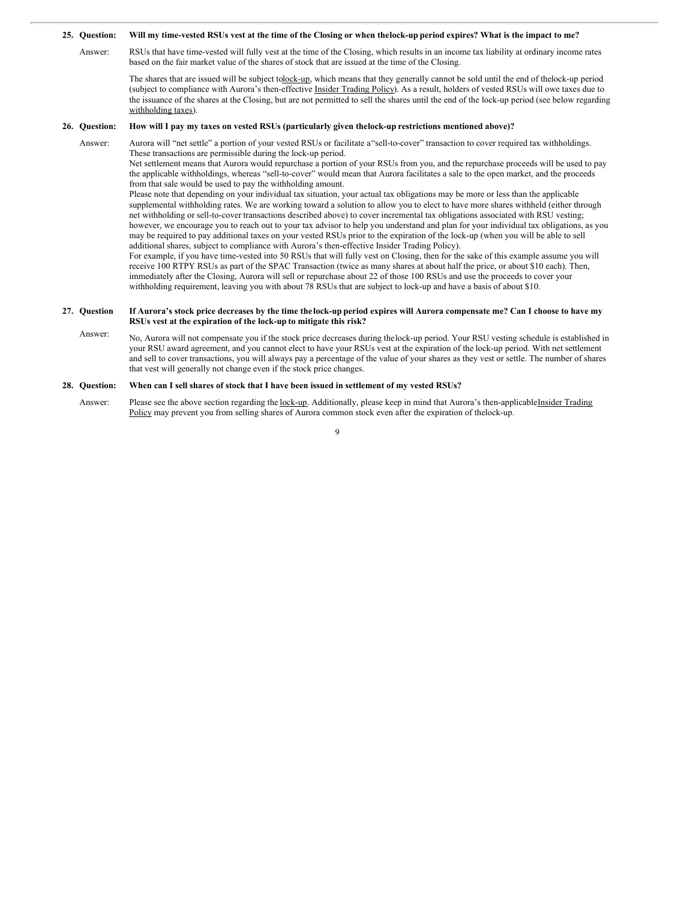#### **25. Question:** Will my time-vested RSUs vest at the time of the Closing or when the lock-up period expires? What is the impact to me?

Answer: RSUs that have time-vested will fully vest at the time of the Closing, which results in an income tax liability at ordinary income rates based on the fair market value of the shares of stock that are issued at the time of the Closing.

The shares that are issued will be subject tolock-up, which means that they generally cannot be sold until the end of thelock-up period (subject to compliance with Aurora's then-effective Insider Trading Policy). As a result, holders of vested RSUs will owe taxes due to the issuance of the shares at the Closing, but are not permitted to sell the shares until the end of the lock-up period (see below regarding withholding taxes).

#### **26. Question: How will I pay my taxes on vested RSUs (particularly given thelock-up restrictions mentioned above)?**

Answer: Aurora will "net settle" a portion of your vested RSUs or facilitate a"sell-to-cover" transaction to cover required tax withholdings. These transactions are permissible during the lock-up period.

Net settlement means that Aurora would repurchase a portion of your RSUs from you, and the repurchase proceeds will be used to pay the applicable withholdings, whereas "sell-to-cover" would mean that Aurora facilitates a sale to the open market, and the proceeds from that sale would be used to pay the withholding amount.

Please note that depending on your individual tax situation, your actual tax obligations may be more or less than the applicable supplemental withholding rates. We are working toward a solution to allow you to elect to have more shares withheld (either through net withholding or sell-to-cover transactions described above) to cover incremental tax obligations associated with RSU vesting; however, we encourage you to reach out to your tax advisor to help you understand and plan for your individual tax obligations, as you may be required to pay additional taxes on your vested RSUs prior to the expiration of the lock-up (when you will be able to sell additional shares, subject to compliance with Aurora's then-effective Insider Trading Policy).

For example, if you have time-vested into 50 RSUs that will fully vest on Closing, then for the sake of this example assume you will receive 100 RTPY RSUs as part of the SPAC Transaction (twice as many shares at about half the price, or about \$10 each). Then, immediately after the Closing, Aurora will sell or repurchase about 22 of those 100 RSUs and use the proceeds to cover your withholding requirement, leaving you with about 78 RSUs that are subject to lock-up and have a basis of about \$10.

### **27. Question** If Aurora's stock price decreases by the time the lock-up period expires will Aurora compensate me? Can I choose to have my **RSUs vest at the expiration of the lock-up to mitigate this risk?**

Answer: No, Aurora will not compensate you if the stock price decreases during thelock-up period. Your RSU vesting schedule is established in your RSU award agreement, and you cannot elect to have your RSUs vest at the expiration of the lock-up period. With net settlement and sell to cover transactions, you will always pay a percentage of the value of your shares as they vest or settle. The number of shares that vest will generally not change even if the stock price changes.

#### **28. Question: When can I sell shares of stock that I have been issued in settlement of my vested RSUs?**

Answer: Please see the above section regarding the lock-up. Additionally, please keep in mind that Aurora's then-applicableInsider Trading Policy may prevent you from selling shares of Aurora common stock even after the expiration of thelock-up.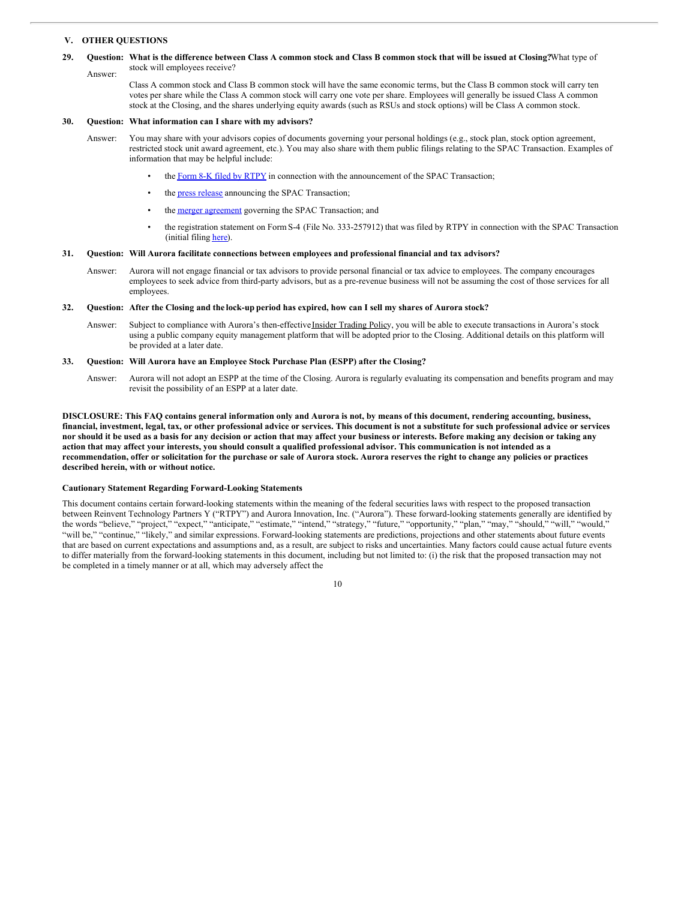# <span id="page-9-0"></span>**V. OTHER QUESTIONS**

### 29. Question: What is the difference between Class A common stock and Class B common stock that will be issued at Closing?What type of Answer: stock will employees receive?

Class A common stock and Class B common stock will have the same economic terms, but the Class B common stock will carry ten votes per share while the Class A common stock will carry one vote per share. Employees will generally be issued Class A common stock at the Closing, and the shares underlying equity awards (such as RSUs and stock options) will be Class A common stock.

## **30. Question: What information can I share with my advisors?**

- Answer: You may share with your advisors copies of documents governing your personal holdings (e.g., stock plan, stock option agreement, restricted stock unit award agreement, etc.). You may also share with them public filings relating to the SPAC Transaction. Examples of information that may be helpful include:
	- the Form 8-K filed by [RTPY](http://www.sec.gov/Archives/edgar/data/1828108/000119312521215991/d326572d8k.htm) in connection with the announcement of the SPAC Transaction;
	- the **press [release](http://www.sec.gov/Archives/edgar/data/1828108/000119312521215991/d326572dex991.htm)** announcing the SPAC Transaction;
	- the merger [agreement](http://www.sec.gov/Archives/edgar/data/1828108/000119312521215991/d326572dex21.htm) governing the SPAC Transaction; and
	- the registration statement on FormS-4 (File No. 333-257912) that was filed by RTPY in connection with the SPAC Transaction (initial filing [here](http://www.sec.gov/Archives/edgar/data/1828108/000119312521216134/d184562ds4.htm)).

### **31. Question: Will Aurora facilitate connections between employees and professional financial and tax advisors?**

Answer: Aurora will not engage financial or tax advisors to provide personal financial or tax advice to employees. The company encourages employees to seek advice from third-party advisors, but as a pre-revenue business will not be assuming the cost of those services for all employees.

### 32. Question: After the Closing and the lock-up period has expired, how can I sell my shares of Aurora stock?

Answer: Subject to compliance with Aurora's then-effective Insider Trading Policy, you will be able to execute transactions in Aurora's stock using a public company equity management platform that will be adopted prior to the Closing. Additional details on this platform will be provided at a later date.

### **33. Question: Will Aurora have an Employee Stock Purchase Plan (ESPP) after the Closing?**

Answer: Aurora will not adopt an ESPP at the time of the Closing. Aurora is regularly evaluating its compensation and benefits program and may revisit the possibility of an ESPP at a later date.

DISCLOSURE: This FAQ contains general information only and Aurora is not, by means of this document, rendering accounting, business, financial, investment, legal, tax, or other professional advice or services. This document is not a substitute for such professional advice or services nor should it be used as a basis for any decision or action that may affect your business or interests. Before making any decision or taking any action that may affect your interests, you should consult a qualified professional advisor. This communication is not intended as a recommendation, offer or solicitation for the purchase or sale of Aurora stock. Aurora reserves the right to change any policies or practices **described herein, with or without notice.**

### **Cautionary Statement Regarding Forward-Looking Statements**

This document contains certain forward-looking statements within the meaning of the federal securities laws with respect to the proposed transaction between Reinvent Technology Partners Y ("RTPY") and Aurora Innovation, Inc. ("Aurora"). These forward-looking statements generally are identified by the words "believe," "project," "expect," "anticipate," "estimate," "intend," "strategy," "future," "opportunity," "plan," "may," "should," "will," "would," "will be," "continue," "likely," and similar expressions. Forward-looking statements are predictions, projections and other statements about future events that are based on current expectations and assumptions and, as a result, are subject to risks and uncertainties. Many factors could cause actual future events to differ materially from the forward-looking statements in this document, including but not limited to: (i) the risk that the proposed transaction may not be completed in a timely manner or at all, which may adversely affect the